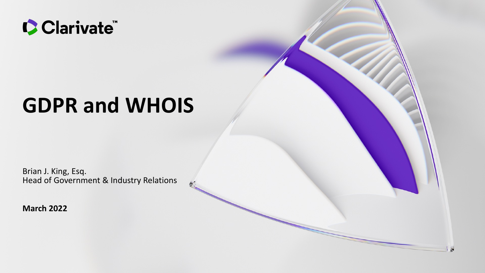

# **GDPR and WHOIS**

Brian J. King, Esq. Head of Government & Industry Relations

N

**March 2022**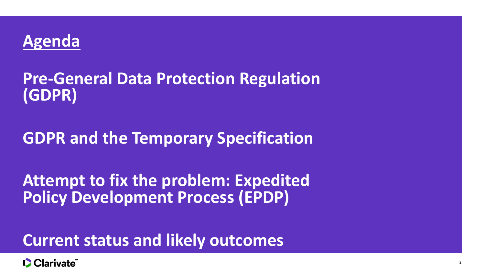

## **Pre-General Data Protection Regulation (GDPR)**

## **GDPR and the Temporary Specification**

**Attempt to fix the problem: Expedited Policy Development Process (EPDP)**

**Current status and likely outcomes**

CClarivate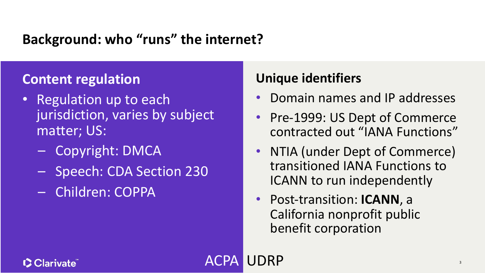### **Background: who "runs" the internet?**

### **Content regulation**

- Regulation up to each jurisdiction, varies by subject matter; US:
	- Copyright: DMCA
	- Speech: CDA Section 230
	- Children: COPPA

### **Unique identifiers**

UDRP

- Domain names and IP addresses
- Pre-1999: US Dept of Commerce contracted out "IANA Functions"
- NTIA (under Dept of Commerce) transitioned IANA Functions to ICANN to run independently

3

• Post-transition: **ICANN**, a California nonprofit public benefit corporation

#### **C** Clarivate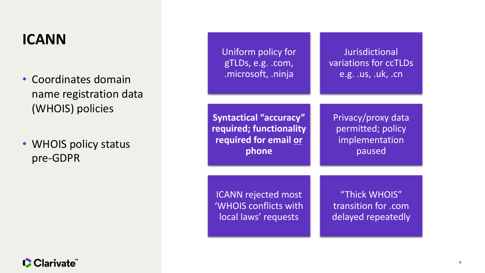## **ICANN**

- Coordinates domain name registration data (WHOIS) policies
- WHOIS policy status pre-GDPR

| Uniform policy for            | Jurisdictional        |
|-------------------------------|-----------------------|
| gTLDs, e.g. .com,             | variations for ccTLDs |
| .microsoft, .ninja            | e.g. .us, .uk, .cn    |
| <b>Syntactical "accuracy"</b> | Privacy/proxy data    |
| required; functionality       | permitted; policy     |
| required for email or         | implementation        |
| phone                         | paused                |
| <b>ICANN rejected most</b>    | "Thick WHOIS"         |
| 'WHOIS conflicts with         | transition for .com   |
| local laws' requests          | delayed repeatedly    |

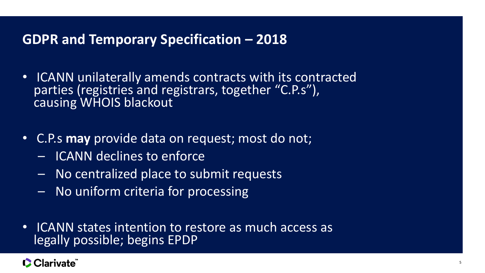#### **GDPR and Temporary Specification – 2018**

- ICANN unilaterally amends contracts with its contracted parties (registries and registrars, together "C.P.s"), causing WHOIS blackout
- C.P.s **may** provide data on request; most do not;
	- ICANN declines to enforce
	- No centralized place to submit requests
	- No uniform criteria for processing
- ICANN states intention to restore as much access as legally possible; begins EPDP

#### **C** Clarivate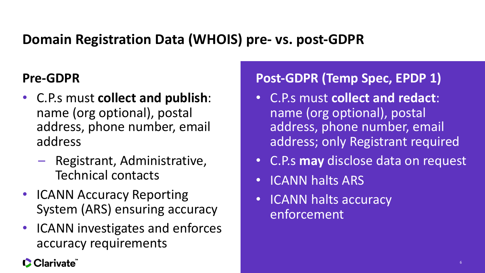## **Domain Registration Data (WHOIS) pre- vs. post-GDPR**

### **Pre-GDPR**

- C.P.s must **collect and publish**: name (org optional), postal address, phone number, email address
	- Registrant, Administrative, Technical contacts
- ICANN Accuracy Reporting System (ARS) ensuring accuracy
- ICANN investigates and enforces accuracy requirements

#### **C** Clarivate

## **Post-GDPR (Temp Spec, EPDP 1)**

- C.P.s must **collect and redact**: name (org optional), postal address, phone number, email address; only Registrant required
- C.P.s **may** disclose data on request
- ICANN halts ARS
- ICANN halts accuracy enforcement